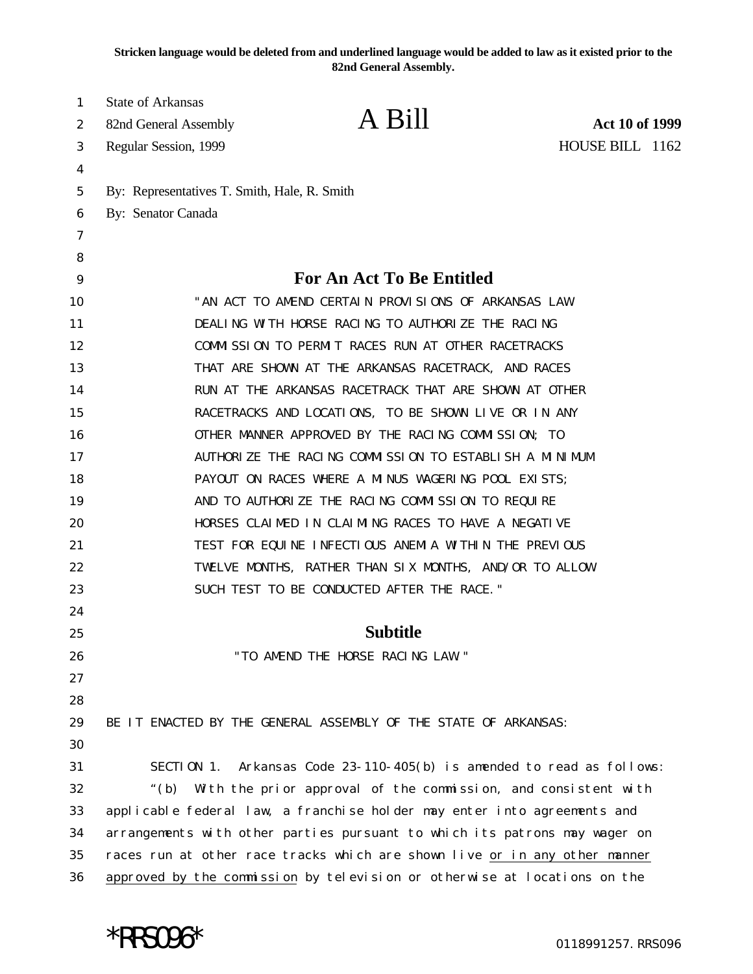**Stricken language would be deleted from and underlined language would be added to law as it existed prior to the 82nd General Assembly.**

| 1  | <b>State of Arkansas</b>                                                   |                                            |                       |
|----|----------------------------------------------------------------------------|--------------------------------------------|-----------------------|
| 2  | 82nd General Assembly                                                      | A Bill                                     | <b>Act 10 of 1999</b> |
| 3  | Regular Session, 1999                                                      |                                            | HOUSE BILL 1162       |
| 4  |                                                                            |                                            |                       |
| 5  | By: Representatives T. Smith, Hale, R. Smith                               |                                            |                       |
| 6  | By: Senator Canada                                                         |                                            |                       |
| 7  |                                                                            |                                            |                       |
| 8  |                                                                            |                                            |                       |
| 9  | <b>For An Act To Be Entitled</b>                                           |                                            |                       |
| 10 | "AN ACT TO AMEND CERTAIN PROVISIONS OF ARKANSAS LAW                        |                                            |                       |
| 11 | DEALING WITH HORSE RACING TO AUTHORIZE THE RACING                          |                                            |                       |
| 12 | COMMISSION TO PERMIT RACES RUN AT OTHER RACETRACKS                         |                                            |                       |
| 13 | THAT ARE SHOWN AT THE ARKANSAS RACETRACK, AND RACES                        |                                            |                       |
| 14 | RUN AT THE ARKANSAS RACETRACK THAT ARE SHOWN AT OTHER                      |                                            |                       |
| 15 | RACETRACKS AND LOCATIONS, TO BE SHOWN LIVE OR IN ANY                       |                                            |                       |
| 16 | OTHER MANNER APPROVED BY THE RACING COMMISSION; TO                         |                                            |                       |
| 17 | AUTHORIZE THE RACING COMMISSION TO ESTABLISH A MINIMUM                     |                                            |                       |
| 18 | PAYOUT ON RACES WHERE A MINUS WAGERING POOL EXISTS;                        |                                            |                       |
| 19 | AND TO AUTHORIZE THE RACING COMMISSION TO REQUIRE                          |                                            |                       |
| 20 | HORSES CLAIMED IN CLAIMING RACES TO HAVE A NEGATIVE                        |                                            |                       |
| 21 | TEST FOR EQUINE INFECTIOUS ANEMIA WITHIN THE PREVIOUS                      |                                            |                       |
| 22 | TWELVE MONTHS, RATHER THAN SIX MONTHS, AND/OR TO ALLOW                     |                                            |                       |
| 23 |                                                                            | SUCH TEST TO BE CONDUCTED AFTER THE RACE." |                       |
| 24 |                                                                            |                                            |                       |
| 25 | <b>Subtitle</b>                                                            |                                            |                       |
| 26 |                                                                            | "TO AMEND THE HORSE RACING LAW."           |                       |
| 27 |                                                                            |                                            |                       |
| 28 |                                                                            |                                            |                       |
| 29 | BE IT ENACTED BY THE GENERAL ASSEMBLY OF THE STATE OF ARKANSAS:            |                                            |                       |
| 30 |                                                                            |                                            |                       |
| 31 | SECTION 1. Arkansas Code 23-110-405(b) is amended to read as follows:      |                                            |                       |
| 32 | With the prior approval of the commission, and consistent with<br>" $(b)$  |                                            |                       |
| 33 | applicable federal law, a franchise holder may enter into agreements and   |                                            |                       |
| 34 | arrangements with other parties pursuant to which its patrons may wager on |                                            |                       |
| 35 | races run at other race tracks which are shown live or in any other manner |                                            |                       |
| 36 | approved by the commission by television or otherwise at locations on the  |                                            |                       |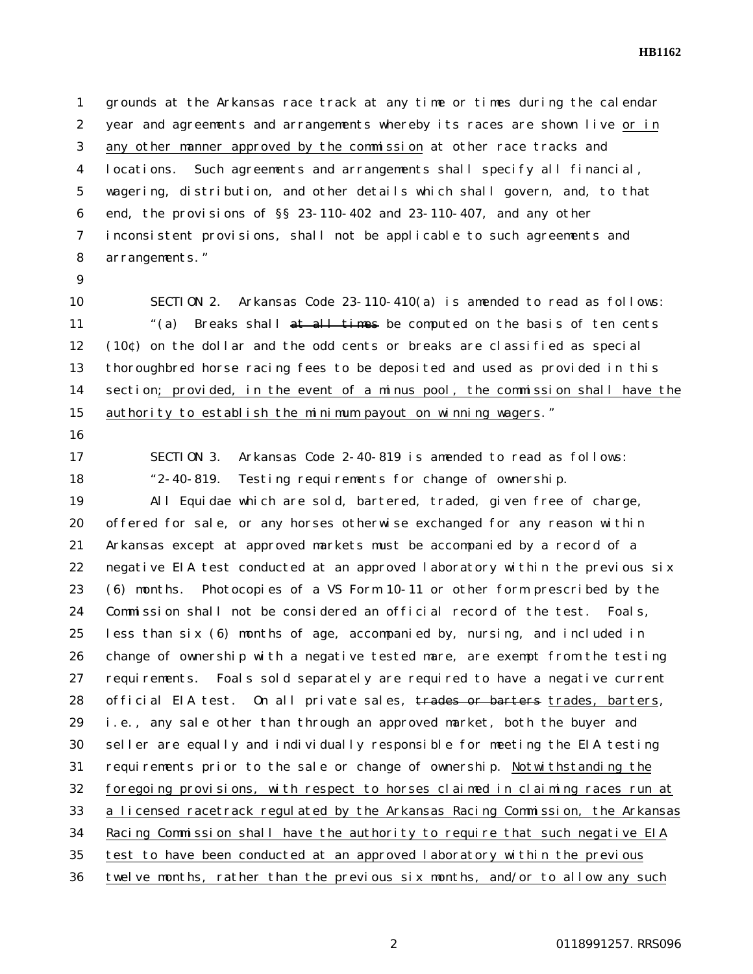**HB1162**

 grounds at the Arkansas race track at any time or times during the calendar year and agreements and arrangements whereby its races are shown live or in any other manner approved by the commission at other race tracks and locations. Such agreements and arrangements shall specify all financial, wagering, distribution, and other details which shall govern, and, to that end, the provisions of §§ 23-110-402 and 23-110-407, and any other inconsistent provisions, shall not be applicable to such agreements and arrangements."

 SECTION 2. Arkansas Code 23-110-410(a) is amended to read as follows: 11 (a) Breaks shall at all times be computed on the basis of ten cents (10¢) on the dollar and the odd cents or breaks are classified as special thoroughbred horse racing fees to be deposited and used as provided in this section; provided, in the event of a minus pool, the commission shall have the authority to establish the minimum payout on winning wagers."

- 
- 

 SECTION 3. Arkansas Code 2-40-819 is amended to read as follows: "2-40-819. Testing requirements for change of ownership.

 All Equidae which are sold, bartered, traded, given free of charge, offered for sale, or any horses otherwise exchanged for any reason within Arkansas except at approved markets must be accompanied by a record of a negative EIA test conducted at an approved laboratory within the previous six (6) months. Photocopies of a VS Form 10-11 or other form prescribed by the Commission shall not be considered an official record of the test. Foals, less than six (6) months of age, accompanied by, nursing, and included in change of ownership with a negative tested mare, are exempt from the testing requirements. Foals sold separately are required to have a negative current 28 official EIA test. On all private sales, trades or barters trades, barters, i.e., any sale other than through an approved market, both the buyer and seller are equally and individually responsible for meeting the EIA testing requirements prior to the sale or change of ownership. Notwithstanding the foregoing provisions, with respect to horses claimed in claiming races run at a licensed racetrack regulated by the Arkansas Racing Commission, the Arkansas Racing Commission shall have the authority to require that such negative EIA test to have been conducted at an approved laboratory within the previous twelve months, rather than the previous six months, and/or to allow any such